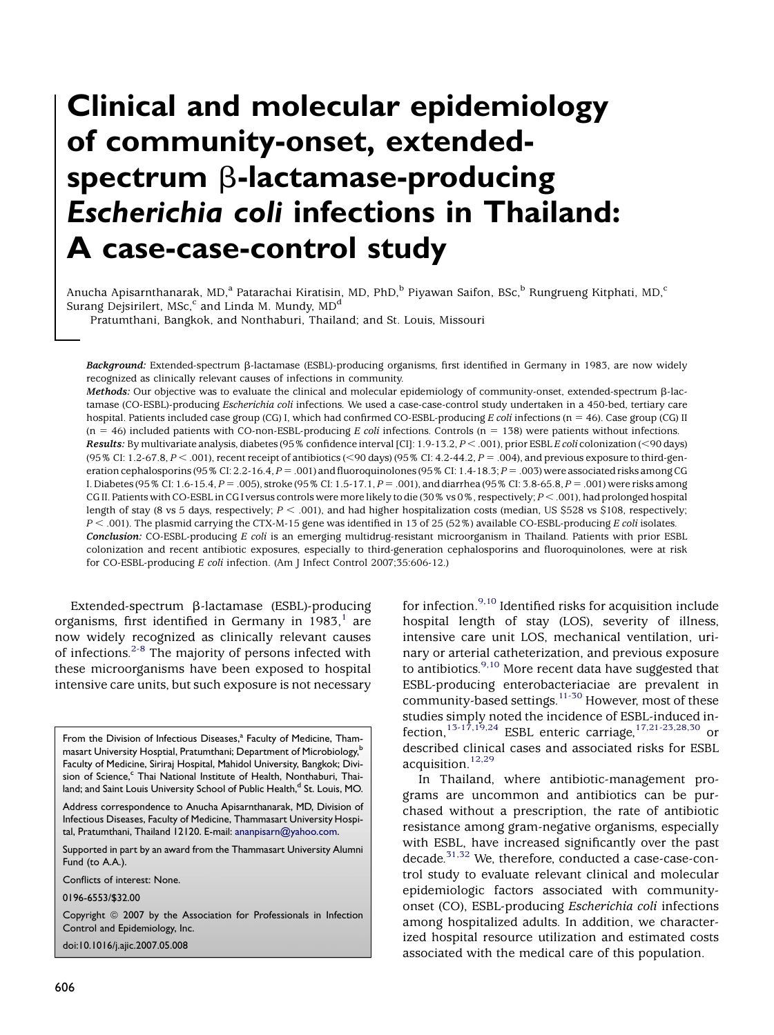# Clinical and molecular epidemiology of community-onset, extendedspectrum  $\beta$ -lactamase-producing Escherichia coli infections in Thailand: A case-case-control study

Anucha Apisarnthanarak, MD,<sup>a</sup> Patarachai Kiratisin, MD, PhD,<sup>b</sup> Piyawan Saifon, BSc,<sup>b</sup> Rungrueng Kitphati, MD,<sup>c</sup> Surang Dejsirilert, MSc, $^c$  and Linda M. Mundy, MD<sup>d</sup>

Pratumthani, Bangkok, and Nonthaburi, Thailand; and St. Louis, Missouri

Background: Extended-spectrum  $\beta$ -lactamase (ESBL)-producing organisms, first identified in Germany in 1983, are now widely recognized as clinically relevant causes of infections in community.

Methods: Our objective was to evaluate the clinical and molecular epidemiology of community-onset, extended-spectrum  $\beta$ -lactamase (CO-ESBL)-producing Escherichia coli infections. We used a case-case-control study undertaken in a 450-bed, tertiary care hospital. Patients included case group (CG) I, which had confirmed CO-ESBL-producing E coli infections ( $n = 46$ ). Case group (CG) II  $(n = 46)$  included patients with CO-non-ESBL-producing E coli infections. Controls  $(n = 138)$  were patients without infections. Results: By multivariate analysis, diabetes (95% confidence interval [CI]: 1.9-13.2,  $P < .001$ ), prior ESBL E coli colonization (<90 days) (95% CI: 1.2-67.8,  $P < .001$ ), recent receipt of antibiotics (<90 days) (95% CI: 4.2-44.2,  $P = .004$ ), and previous exposure to third-generation cephalosporins (95% CI: 2.2-16.4,  $P = .001$ ) and fluoroquinolones (95% CI: 1.4-18.3;  $P = .003$ ) were associated risks among CG I. Diabetes (95% CI: 1.6-15.4,  $P = .005$ ), stroke (95% CI: 1.5-17.1,  $P = .001$ ), and diarrhea (95% CI: 3.8-65.8,  $P = .001$ ) were risks among CG II. Patients with CO-ESBL in CG I versus controls were more likely to die (30 % vs 0 %, respectively;  $P < .001$ ), had prolonged hospital length of stay (8 vs 5 days, respectively;  $P < .001$ ), and had higher hospitalization costs (median, US \$528 vs \$108, respectively;  $P < .001$ ). The plasmid carrying the CTX-M-15 gene was identified in 13 of 25 (52%) available CO-ESBL-producing E coli isolates. Conclusion: CO-ESBL-producing E coli is an emerging multidrug-resistant microorganism in Thailand. Patients with prior ESBL colonization and recent antibiotic exposures, especially to third-generation cephalosporins and fluoroquinolones, were at risk for CO-ESBL-producing E coli infection. (Am J Infect Control 2007;35:606-12.)

Extended-spectrum B-lactamase (ESBL)-producing organisms, first identified in Germany in  $1983$  $1983$ ,<sup>1</sup> are now widely recognized as clinically relevant causes of infections. $2-8$  The majority of persons infected with these microorganisms have been exposed to hospital intensive care units, but such exposure is not necessary

From the Division of Infectious Diseases,<sup>a</sup> Faculty of Medicine, Thammasart University Hosptial, Pratumthani; Department of Microbiology,b Faculty of Medicine, Siriraj Hospital, Mahidol University, Bangkok; Division of Science,<sup>c</sup> Thai National Institute of Health, Nonthaburi, Thailand; and Saint Louis University School of Public Health,<sup>d</sup> St. Louis, MO.

0196-6553/\$32.00

Copyright  $@$  2007 by the Association for Professionals in Infection Control and Epidemiology, Inc.

doi:10.1016/j.ajic.2007.05.008

for infection.<sup>[9,10](#page-5-0)</sup> Identified risks for acquisition include hospital length of stay (LOS), severity of illness, intensive care unit LOS, mechanical ventilation, urinary or arterial catheterization, and previous exposure to antibiotics.<sup>[9,10](#page-5-0)</sup> More recent data have suggested that ESBL-producing enterobacteriaciae are prevalent in community-based settings.[11-30](#page-5-0) However, most of these studies simply noted the incidence of ESBL-induced in-fection,<sup>[13-17,19,24](#page-5-0)</sup> ESBL enteric carriage,<sup>17,21-23,28,30</sup> or described clinical cases and associated risks for ESBL acquisition.[12,29](#page-5-0)

In Thailand, where antibiotic-management programs are uncommon and antibiotics can be purchased without a prescription, the rate of antibiotic resistance among gram-negative organisms, especially with ESBL, have increased significantly over the past decade.<sup>[31,32](#page-6-0)</sup> We, therefore, conducted a case-case-control study to evaluate relevant clinical and molecular epidemiologic factors associated with communityonset (CO), ESBL-producing Escherichia coli infections among hospitalized adults. In addition, we characterized hospital resource utilization and estimated costs associated with the medical care of this population.

Address correspondence to Anucha Apisarnthanarak, MD, Division of Infectious Diseases, Faculty of Medicine, Thammasart University Hospital, Pratumthani, Thailand 12120. E-mail: [ananpisarn@yahoo.com.](mailto:ananpisarn@yahoo.com)

Supported in part by an award from the Thammasart University Alumni Fund (to A.A.).

Conflicts of interest: None.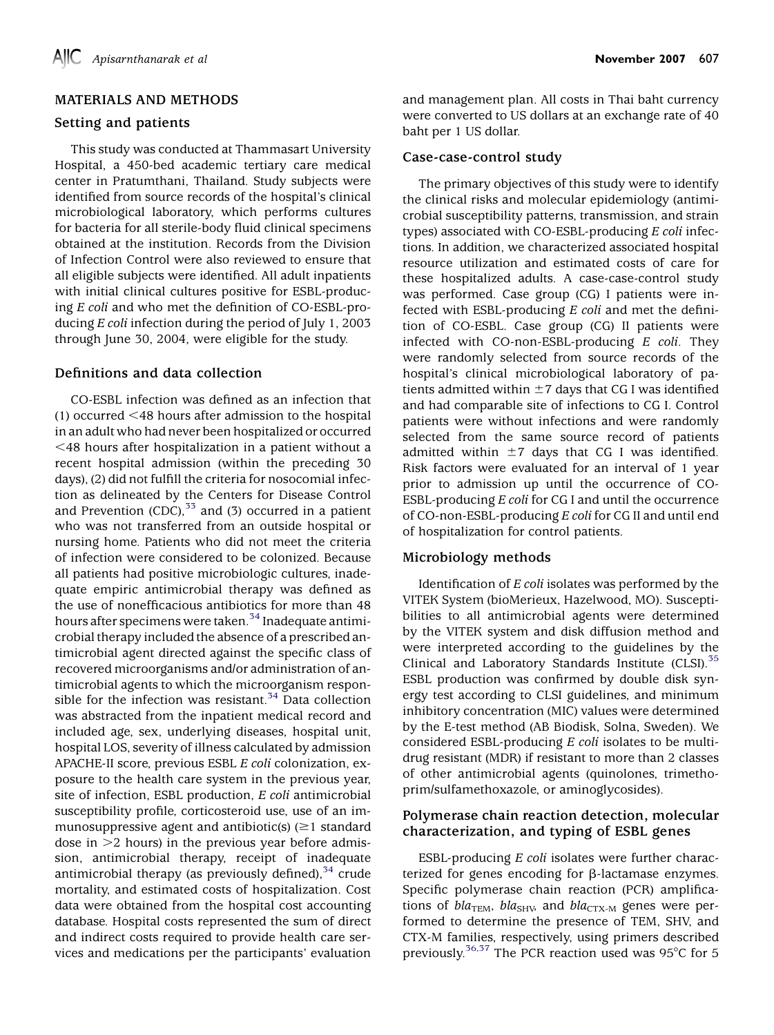# MATERIALS AND METHODS

# Setting and patients

This study was conducted at Thammasart University Hospital, a 450-bed academic tertiary care medical center in Pratumthani, Thailand. Study subjects were identified from source records of the hospital's clinical microbiological laboratory, which performs cultures for bacteria for all sterile-body fluid clinical specimens obtained at the institution. Records from the Division of Infection Control were also reviewed to ensure that all eligible subjects were identified. All adult inpatients with initial clinical cultures positive for ESBL-producing E coli and who met the definition of CO-ESBL-producing E coli infection during the period of July 1, 2003 through June 30, 2004, were eligible for the study.

## Definitions and data collection

CO-ESBL infection was defined as an infection that (1) occurred  $\leq$  48 hours after admission to the hospital in an adult who had never been hospitalized or occurred  $\leq$  48 hours after hospitalization in a patient without a recent hospital admission (within the preceding 30 days), (2) did not fulfill the criteria for nosocomial infection as delineated by the Centers for Disease Control and Prevention (CDC),  $33$  and (3) occurred in a patient who was not transferred from an outside hospital or nursing home. Patients who did not meet the criteria of infection were considered to be colonized. Because all patients had positive microbiologic cultures, inadequate empiric antimicrobial therapy was defined as the use of nonefficacious antibiotics for more than 48 hours after specimens were taken.<sup>[34](#page-6-0)</sup> Inadequate antimicrobial therapy included the absence of a prescribed antimicrobial agent directed against the specific class of recovered microorganisms and/or administration of antimicrobial agents to which the microorganism respon-sible for the infection was resistant.<sup>[34](#page-6-0)</sup> Data collection was abstracted from the inpatient medical record and included age, sex, underlying diseases, hospital unit, hospital LOS, severity of illness calculated by admission APACHE-II score, previous ESBL E coli colonization, exposure to the health care system in the previous year, site of infection, ESBL production, E coli antimicrobial susceptibility profile, corticosteroid use, use of an immunosuppressive agent and antibiotic(s)  $(\geq 1$  standard dose in  $>2$  hours) in the previous year before admission, antimicrobial therapy, receipt of inadequate antimicrobial therapy (as previously defined),  $34$  crude mortality, and estimated costs of hospitalization. Cost data were obtained from the hospital cost accounting database. Hospital costs represented the sum of direct and indirect costs required to provide health care services and medications per the participants' evaluation

and management plan. All costs in Thai baht currency were converted to US dollars at an exchange rate of 40 baht per 1 US dollar.

## Case-case-control study

The primary objectives of this study were to identify the clinical risks and molecular epidemiology (antimicrobial susceptibility patterns, transmission, and strain types) associated with CO-ESBL-producing E coli infections. In addition, we characterized associated hospital resource utilization and estimated costs of care for these hospitalized adults. A case-case-control study was performed. Case group (CG) I patients were infected with ESBL-producing E coli and met the definition of CO-ESBL. Case group (CG) II patients were infected with CO-non-ESBL-producing  $E$  coli. They were randomly selected from source records of the hospital's clinical microbiological laboratory of patients admitted within  $\pm 7$  days that CG I was identified and had comparable site of infections to CG I. Control patients were without infections and were randomly selected from the same source record of patients admitted within  $\pm 7$  days that CG I was identified. Risk factors were evaluated for an interval of 1 year prior to admission up until the occurrence of CO-ESBL-producing E coli for CG I and until the occurrence of CO-non-ESBL-producing E coli for CG II and until end of hospitalization for control patients.

# Microbiology methods

Identification of  $E$  coli isolates was performed by the VITEK System (bioMerieux, Hazelwood, MO). Susceptibilities to all antimicrobial agents were determined by the VITEK system and disk diffusion method and were interpreted according to the guidelines by the Clinical and Laboratory Standards Institute  $(CLSI).$ <sup>[35](#page-6-0)</sup> ESBL production was confirmed by double disk synergy test according to CLSI guidelines, and minimum inhibitory concentration (MIC) values were determined by the E-test method (AB Biodisk, Solna, Sweden). We considered ESBL-producing E coli isolates to be multidrug resistant (MDR) if resistant to more than 2 classes of other antimicrobial agents (quinolones, trimethoprim/sulfamethoxazole, or aminoglycosides).

## Polymerase chain reaction detection, molecular characterization, and typing of ESBL genes

ESBL-producing E coli isolates were further characterized for genes encoding for  $\beta$ -lactamase enzymes. Specific polymerase chain reaction (PCR) amplifications of  $bla_{\text{TEM}}$ ,  $bla_{\text{SHV}}$ , and  $bla_{\text{CTX-M}}$  genes were performed to determine the presence of TEM, SHV, and CTX-M families, respectively, using primers described previously.<sup>[36,37](#page-6-0)</sup> The PCR reaction used was 95 $\degree$ C for 5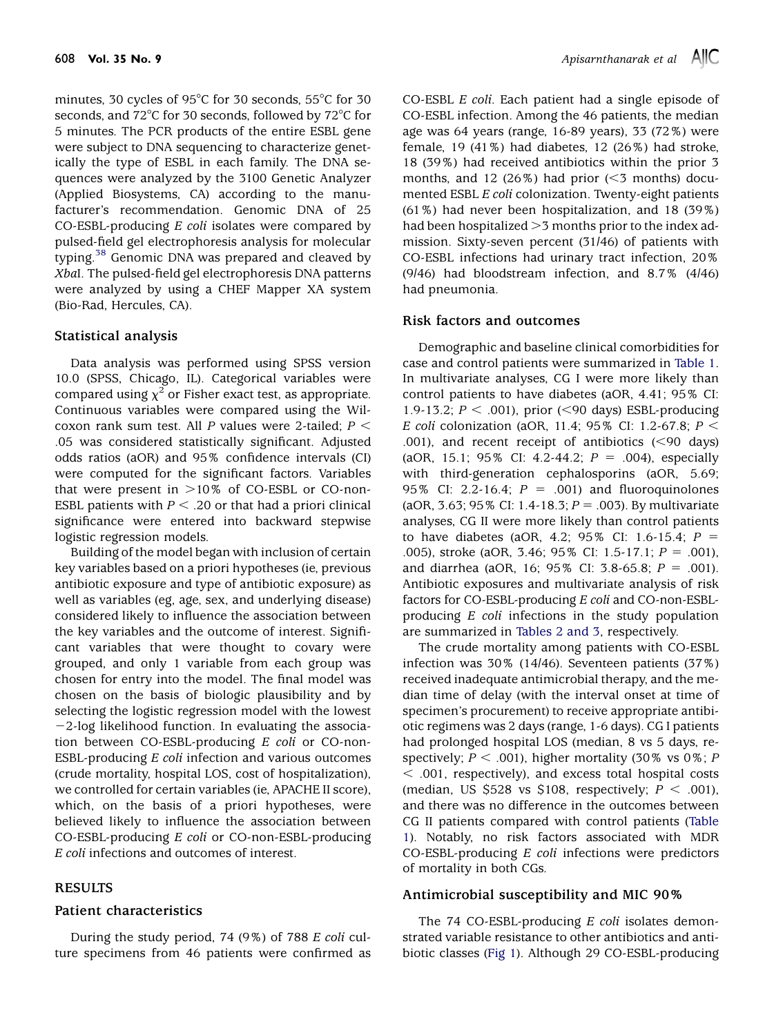minutes, 30 cycles of 95 $\degree$ C for 30 seconds, 55 $\degree$ C for 30 seconds, and  $72^{\circ}$ C for 30 seconds, followed by  $72^{\circ}$ C for 5 minutes. The PCR products of the entire ESBL gene were subject to DNA sequencing to characterize genetically the type of ESBL in each family. The DNA sequences were analyzed by the 3100 Genetic Analyzer (Applied Biosystems, CA) according to the manufacturer's recommendation. Genomic DNA of 25 CO-ESBL-producing E coli isolates were compared by pulsed-field gel electrophoresis analysis for molecular typing.<sup>[38](#page-6-0)</sup> Genomic DNA was prepared and cleaved by XbaI. The pulsed-field gel electrophoresis DNA patterns were analyzed by using a CHEF Mapper XA system (Bio-Rad, Hercules, CA).

## Statistical analysis

Data analysis was performed using SPSS version 10.0 (SPSS, Chicago, IL). Categorical variables were compared using  $\chi^2$  or Fisher exact test, as appropriate. Continuous variables were compared using the Wilcoxon rank sum test. All P values were 2-tailed;  $P \leq$ .05 was considered statistically significant. Adjusted odds ratios (aOR) and 95% confidence intervals (CI) were computed for the significant factors. Variables that were present in  $>10\%$  of CO-ESBL or CO-non-ESBL patients with  $P < .20$  or that had a priori clinical significance were entered into backward stepwise logistic regression models.

Building of the model began with inclusion of certain key variables based on a priori hypotheses (ie, previous antibiotic exposure and type of antibiotic exposure) as well as variables (eg, age, sex, and underlying disease) considered likely to influence the association between the key variables and the outcome of interest. Significant variables that were thought to covary were grouped, and only 1 variable from each group was chosen for entry into the model. The final model was chosen on the basis of biologic plausibility and by selecting the logistic regression model with the lowest  $-2$ -log likelihood function. In evaluating the association between CO-ESBL-producing E coli or CO-non-ESBL-producing E coli infection and various outcomes (crude mortality, hospital LOS, cost of hospitalization), we controlled for certain variables (ie, APACHE II score), which, on the basis of a priori hypotheses, were believed likely to influence the association between CO-ESBL-producing E coli or CO-non-ESBL-producing E coli infections and outcomes of interest.

## RESULTS

#### Patient characteristics

During the study period, 74 (9%) of 788 E coli culture specimens from 46 patients were confirmed as CO-ESBL E coli. Each patient had a single episode of CO-ESBL infection. Among the 46 patients, the median age was 64 years (range, 16-89 years), 33 (72%) were female, 19 (41%) had diabetes, 12 (26%) had stroke, 18 (39%) had received antibiotics within the prior 3 months, and 12 (26%) had prior ( $\leq$ 3 months) documented ESBL E coli colonization. Twenty-eight patients (61%) had never been hospitalization, and 18 (39%) had been hospitalized > 3 months prior to the index admission. Sixty-seven percent (31/46) of patients with CO-ESBL infections had urinary tract infection, 20% (9/46) had bloodstream infection, and 8.7% (4/46) had pneumonia.

#### Risk factors and outcomes

Demographic and baseline clinical comorbidities for case and control patients were summarized in [Table 1.](#page-3-0) In multivariate analyses, CG I were more likely than control patients to have diabetes (aOR, 4.41; 95% CI: 1.9-13.2;  $P < .001$ ), prior (<90 days) ESBL-producing *E* coli colonization (aOR, 11.4; 95% CI: 1.2-67.8;  $P \leq$ .001), and recent receipt of antibiotics  $(< 90$  days) (aOR, 15.1; 95% CI: 4.2-44.2;  $P = .004$ ), especially with third-generation cephalosporins (aOR, 5.69; 95% CI: 2.2-16.4;  $P = .001$ ) and fluoroquinolones (aOR, 3.63; 95% CI: 1.4-18.3;  $P = .003$ ). By multivariate analyses, CG II were more likely than control patients to have diabetes (aOR, 4.2;  $95\%$  CI: 1.6-15.4;  $P =$ .005), stroke (aOR, 3.46; 95% CI: 1.5-17.1;  $P = .001$ ), and diarrhea (aOR, 16; 95% CI: 3.8-65.8;  $P = .001$ ). Antibiotic exposures and multivariate analysis of risk factors for CO-ESBL-producing E coli and CO-non-ESBLproducing E coli infections in the study population are summarized in [Tables 2 and 3,](#page-3-0) respectively.

The crude mortality among patients with CO-ESBL infection was 30% (14/46). Seventeen patients (37%) received inadequate antimicrobial therapy, and the median time of delay (with the interval onset at time of specimen's procurement) to receive appropriate antibiotic regimens was 2 days (range, 1-6 days). CG I patients had prolonged hospital LOS (median, 8 vs 5 days, respectively;  $P < .001$ ), higher mortality (30% vs 0%; P  $<$  .001, respectively), and excess total hospital costs (median, US \$528 vs \$108, respectively;  $P < .001$ ), and there was no difference in the outcomes between CG II patients compared with control patients ([Table](#page-3-0) [1\)](#page-3-0). Notably, no risk factors associated with MDR CO-ESBL-producing E coli infections were predictors of mortality in both CGs.

#### Antimicrobial susceptibility and MIC 90%

The  $74$  CO-ESBL-producing  $E$  coli isolates demonstrated variable resistance to other antibiotics and antibiotic classes ([Fig 1\)](#page-4-0). Although 29 CO-ESBL-producing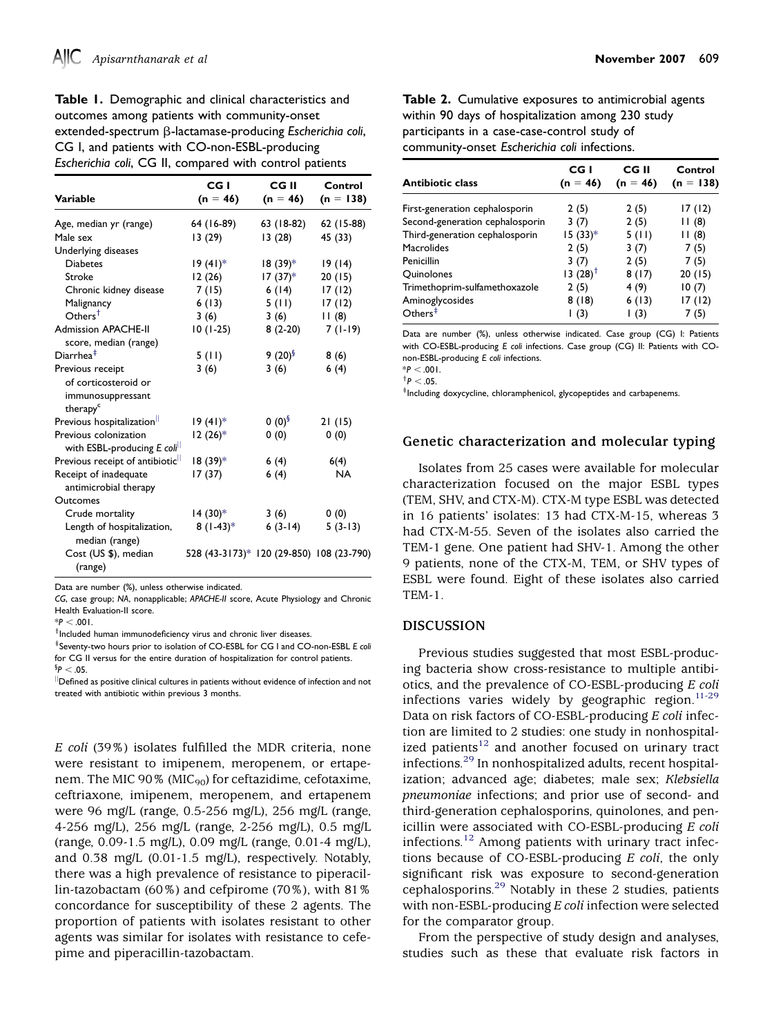<span id="page-3-0"></span>

| Table 1. Demographic and clinical characteristics and     |
|-----------------------------------------------------------|
| outcomes among patients with community-onset              |
| extended-spectrum β-lactamase-producing Escherichia coli, |
| CG I, and patients with CO-non-ESBL-producing             |
| Escherichia coli, CG II, compared with control patients   |
|                                                           |

|                                              | CG I                                     | CG II      | Control     |
|----------------------------------------------|------------------------------------------|------------|-------------|
| Variable                                     | $(n = 46)$                               | $(n = 46)$ | $(n = 138)$ |
| Age, median yr (range)                       | 64 (16-89)                               | 63 (18-82) | 62 (15-88)  |
| Male sex                                     | 13(29)                                   | 13 (28)    | 45 (33)     |
| Underlying diseases                          |                                          |            |             |
| <b>Diabetes</b>                              | $19(41)$ *                               | 18 (39)*   | 19 (14)     |
| Stroke                                       | 12(26)                                   | $17(37)^*$ | 20(15)      |
| Chronic kidney disease                       | 7(15)                                    | 6(14)      | 17(12)      |
| Malignancy                                   | 6(13)                                    | 5(11)      | 17(12)      |
| $Orhers^{\dagger}$                           | 3(6)                                     | 3(6)       | 11(8)       |
| <b>Admission APACHE-II</b>                   | $10(1-25)$                               | $8(2-20)$  | $7(1-19)$   |
| score, median (range)                        |                                          |            |             |
| $Diarrhea^{\ddagger}$                        | 5(11)                                    | $9(20)^9$  | 8(6)        |
| Previous receipt                             | 3(6)                                     | 3(6)       | 6(4)        |
| of corticosteroid or                         |                                          |            |             |
| immunosuppressant                            |                                          |            |             |
| therapy <sup>c</sup>                         |                                          |            |             |
| Previous hospitalization <sup>  </sup>       | $19(41)^*$                               | (0)(0)     | 21(15)      |
| Previous colonization                        | $12(26)*$                                | 0(0)       | 0(0)        |
| with ESBL-producing E colil                  |                                          |            |             |
| Previous receipt of antibiotic <sup>11</sup> | $18(39)*$                                | 6(4)       | 6(4)        |
| Receipt of inadequate                        | 17 (37)                                  | 6(4)       | <b>NA</b>   |
| antimicrobial therapy                        |                                          |            |             |
| Outcomes                                     |                                          |            |             |
| Crude mortality                              | $14(30)*$                                | 3(6)       | 0(0)        |
| Length of hospitalization,<br>median (range) | $8(1-43)*$                               | $6(3-14)$  | $5(3-13)$   |
| Cost (US \$), median<br>(range)              | 528 (43-3173)* 120 (29-850) 108 (23-790) |            |             |

Data are number (%), unless otherwise indicated.

CG, case group; NA, nonapplicable; APACHE-II score, Acute Physiology and Chronic Health Evaluation-II score.

 $*P < 001$ .

<sup>†</sup>Included human immunodeficiency virus and chronic liver diseases.

<sup>‡</sup>Seventy-two hours prior to isolation of CO-ESBL for CG I and CO-non-ESBL E coli for CG II versus for the entire duration of hospitalization for control patients.  $\S P <$  .05.

<sup>||</sup>Defined as positive clinical cultures in patients without evidence of infection and not treated with antibiotic within previous 3 months.

E coli (39%) isolates fulfilled the MDR criteria, none were resistant to imipenem, meropenem, or ertapenem. The MIC 90% (MIC<sub>90</sub>) for ceftazidime, cefotaxime, ceftriaxone, imipenem, meropenem, and ertapenem were 96 mg/L (range, 0.5-256 mg/L), 256 mg/L (range, 4-256 mg/L), 256 mg/L (range, 2-256 mg/L), 0.5 mg/L (range, 0.09-1.5 mg/L), 0.09 mg/L (range, 0.01-4 mg/L), and 0.38 mg/L (0.01-1.5 mg/L), respectively. Notably, there was a high prevalence of resistance to piperacillin-tazobactam (60%) and cefpirome (70%), with 81% concordance for susceptibility of these 2 agents. The proportion of patients with isolates resistant to other agents was similar for isolates with resistance to cefepime and piperacillin-tazobactam.

Table 2. Cumulative exposures to antimicrobial agents within 90 days of hospitalization among 230 study participants in a case-case-control study of community-onset Escherichia coli infections.

| <b>Antibiotic class</b>         | CG I<br>$(n = 46)$ | CG II<br>$(n = 46)$ | Control<br>$(n = 138)$ |
|---------------------------------|--------------------|---------------------|------------------------|
| First-generation cephalosporin  | 2(5)               | 2(5)                | 17(12)                 |
| Second-generation cephalosporin | 3(7)               | 2(5)                | 11(8)                  |
| Third-generation cephalosporin  | $15(33)*$          | 5(11)               | 11(8)                  |
| Macrolides                      | 2(5)               | 3(7)                | 7(5)                   |
| Penicillin                      | 3(7)               | 2(5)                | 7(5)                   |
| Quinolones                      | $13(28)^{+}$       | 8(17)               | 20 (15)                |
| Trimethoprim-sulfamethoxazole   | 2(5)               | 4 (9)               | 10(7)                  |
| Aminoglycosides                 | 8(18)              | 6(13)               | 17(12)                 |
| Others $‡$                      | (3)                | (3)                 | (5)                    |

Data are number (%), unless otherwise indicated. Case group (CG) I: Patients with CO-ESBL-producing E coli infections. Case group (CG) II: Patients with COnon-ESBL-producing E coli infections.

 $*P < .001$ .

 $^{\dagger}P < .05$ .

<sup>‡</sup>Including doxycycline, chloramphenicol, glycopeptides and carbapenems.

#### Genetic characterization and molecular typing

Isolates from 25 cases were available for molecular characterization focused on the major ESBL types (TEM, SHV, and CTX-M). CTX-M type ESBL was detected in 16 patients' isolates: 13 had CTX-M-15, whereas 3 had CTX-M-55. Seven of the isolates also carried the TEM-1 gene. One patient had SHV-1. Among the other 9 patients, none of the CTX-M, TEM, or SHV types of ESBL were found. Eight of these isolates also carried TEM-1.

#### DISCUSSION

Previous studies suggested that most ESBL-producing bacteria show cross-resistance to multiple antibiotics, and the prevalence of CO-ESBL-producing E coli infections varies widely by geographic region. $11-29$ Data on risk factors of CO-ESBL-producing E coli infection are limited to 2 studies: one study in nonhospitalized patients $12$  and another focused on urinary tract infections.[29](#page-6-0) In nonhospitalized adults, recent hospitalization; advanced age; diabetes; male sex; Klebsiella pneumoniae infections; and prior use of second- and third-generation cephalosporins, quinolones, and penicillin were associated with CO-ESBL-producing E coli infections.<sup>[12](#page-5-0)</sup> Among patients with urinary tract infections because of  $CO$ -ESBL-producing  $E$  coli, the only significant risk was exposure to second-generation cephalosporins.[29](#page-6-0) Notably in these 2 studies, patients with non-ESBL-producing E coli infection were selected for the comparator group.

From the perspective of study design and analyses, studies such as these that evaluate risk factors in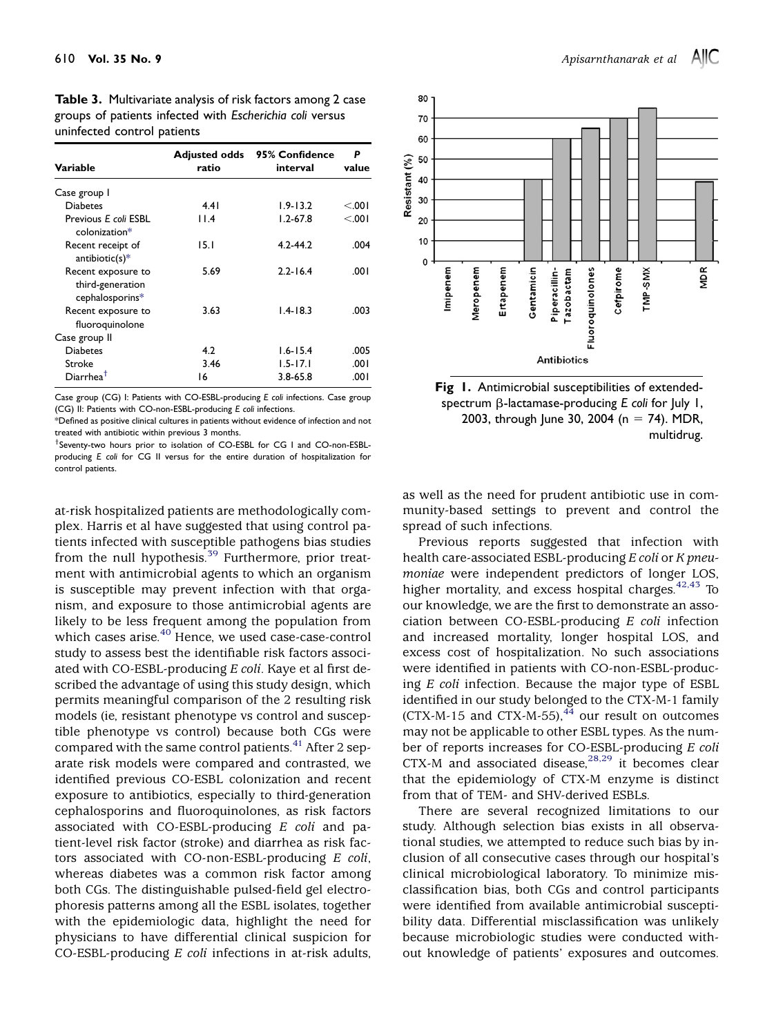<span id="page-4-0"></span>

| <b>Table 3.</b> Multivariate analysis of risk factors among 2 case |
|--------------------------------------------------------------------|
| groups of patients infected with Escherichia coli versus           |
| uninfected control patients                                        |

| Variable                                                  | <b>Adjusted odds</b><br>ratio | 95% Confidence<br>interval | P<br>value |
|-----------------------------------------------------------|-------------------------------|----------------------------|------------|
| Case group I                                              |                               |                            |            |
| <b>Diabetes</b>                                           | 4.41                          | $1.9 - 13.2$               | < 001      |
| Previous E coli ESBL<br>colonization*                     | 11.4                          | $1.2 - 67.8$               | < 001      |
| Recent receipt of<br>antibiotic(s) $*$                    | 15.1                          | $4.2 - 44.2$               | .004       |
| Recent exposure to<br>third-generation<br>cephalosporins* | 5.69                          | $2.2 - 16.4$               | .001       |
| Recent exposure to<br>fluoroquinolone                     | 3.63                          | $1.4 - 18.3$               | .003       |
| Case group II                                             |                               |                            |            |
| <b>Diabetes</b>                                           | 4.2                           | $1.6 - 15.4$               | .005       |
| Stroke                                                    | 3.46                          | $1.5 - 17.1$               | .001       |
| $Diar$ rhea $^\dagger$                                    | 16                            | $3.8 - 65.8$               | .001       |

Case group (CG) I: Patients with CO-ESBL-producing E coli infections. Case group (CG) II: Patients with CO-non-ESBL-producing E coli infections.

\*Defined as positive clinical cultures in patients without evidence of infection and not treated with antibiotic within previous 3 months.

<sup>†</sup>Seventy-two hours prior to isolation of CO-ESBL for CG I and CO-non-ESBLproducing E coli for CG II versus for the entire duration of hospitalization for control patients.

at-risk hospitalized patients are methodologically complex. Harris et al have suggested that using control patients infected with susceptible pathogens bias studies from the null hypothesis.<sup>[39](#page-6-0)</sup> Furthermore, prior treatment with antimicrobial agents to which an organism is susceptible may prevent infection with that organism, and exposure to those antimicrobial agents are likely to be less frequent among the population from which cases arise.<sup>[40](#page-6-0)</sup> Hence, we used case-case-control study to assess best the identifiable risk factors associated with CO-ESBL-producing E coli. Kaye et al first described the advantage of using this study design, which permits meaningful comparison of the 2 resulting risk models (ie, resistant phenotype vs control and susceptible phenotype vs control) because both CGs were compared with the same control patients. $41$  After 2 separate risk models were compared and contrasted, we identified previous CO-ESBL colonization and recent exposure to antibiotics, especially to third-generation cephalosporins and fluoroquinolones, as risk factors associated with CO-ESBL-producing  $E$  coli and patient-level risk factor (stroke) and diarrhea as risk factors associated with CO-non-ESBL-producing E coli, whereas diabetes was a common risk factor among both CGs. The distinguishable pulsed-field gel electrophoresis patterns among all the ESBL isolates, together with the epidemiologic data, highlight the need for physicians to have differential clinical suspicion for CO-ESBL-producing E coli infections in at-risk adults,



Fig 1. Antimicrobial susceptibilities of extendedspectrum  $\beta$ -lactamase-producing E coli for July 1, 2003, through June 30, 2004 (n = 74). MDR, multidrug.

as well as the need for prudent antibiotic use in community-based settings to prevent and control the spread of such infections.

Previous reports suggested that infection with health care-associated ESBL-producing E coli or K pneumoniae were independent predictors of longer LOS, higher mortality, and excess hospital charges.<sup>[42,43](#page-6-0)</sup> To our knowledge, we are the first to demonstrate an association between  $CO$ -ESBL-producing  $E$  coli infection and increased mortality, longer hospital LOS, and excess cost of hospitalization. No such associations were identified in patients with CO-non-ESBL-producing  $E$  coli infection. Because the major type of ESBL identified in our study belonged to the CTX-M-1 family  $(CTX-M-15$  and  $CTX-M-55)$ , <sup>[44](#page-6-0)</sup> our result on outcomes may not be applicable to other ESBL types. As the number of reports increases for CO-ESBL-producing E coli CTX-M and associated disease, $28,29$  it becomes clear that the epidemiology of CTX-M enzyme is distinct from that of TEM- and SHV-derived ESBLs.

There are several recognized limitations to our study. Although selection bias exists in all observational studies, we attempted to reduce such bias by inclusion of all consecutive cases through our hospital's clinical microbiological laboratory. To minimize misclassification bias, both CGs and control participants were identified from available antimicrobial susceptibility data. Differential misclassification was unlikely because microbiologic studies were conducted without knowledge of patients' exposures and outcomes.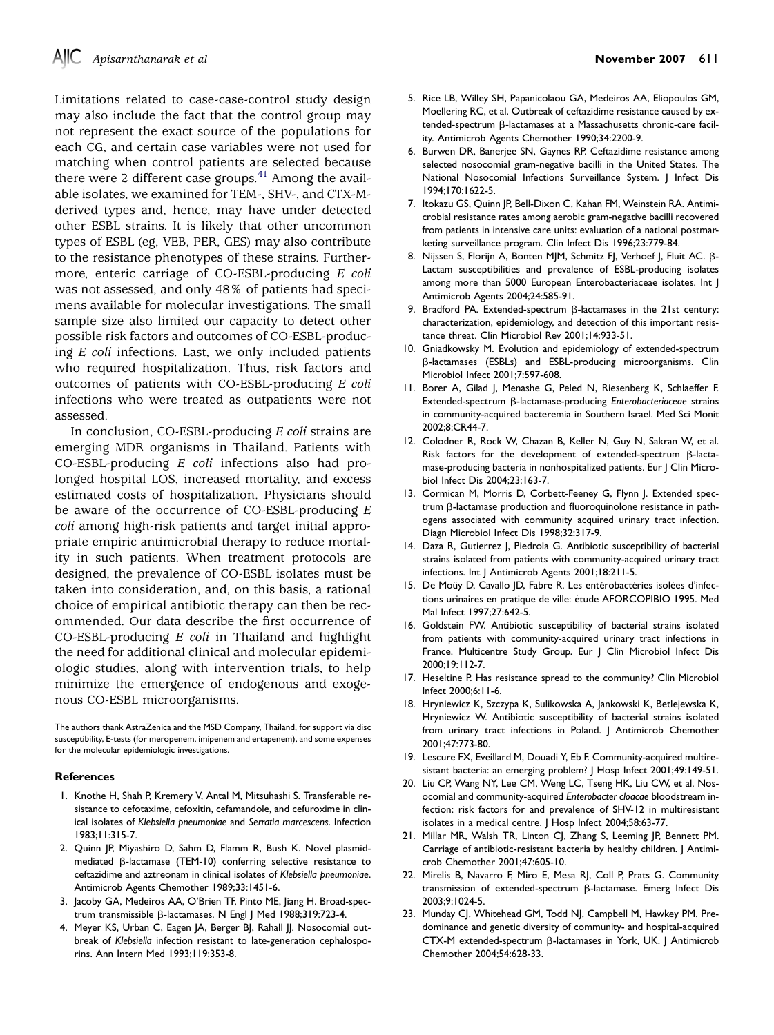<span id="page-5-0"></span>Limitations related to case-case-control study design may also include the fact that the control group may not represent the exact source of the populations for each CG, and certain case variables were not used for matching when control patients are selected because there were 2 different case groups. $41$  Among the available isolates, we examined for TEM-, SHV-, and CTX-Mderived types and, hence, may have under detected other ESBL strains. It is likely that other uncommon types of ESBL (eg, VEB, PER, GES) may also contribute to the resistance phenotypes of these strains. Furthermore, enteric carriage of CO-ESBL-producing E coli was not assessed, and only 48% of patients had specimens available for molecular investigations. The small sample size also limited our capacity to detect other possible risk factors and outcomes of CO-ESBL-producing  $E$  coli infections. Last, we only included patients who required hospitalization. Thus, risk factors and outcomes of patients with CO-ESBL-producing E coli infections who were treated as outpatients were not assessed.

In conclusion, CO-ESBL-producing E coli strains are emerging MDR organisms in Thailand. Patients with CO-ESBL-producing E coli infections also had prolonged hospital LOS, increased mortality, and excess estimated costs of hospitalization. Physicians should be aware of the occurrence of CO-ESBL-producing E coli among high-risk patients and target initial appropriate empiric antimicrobial therapy to reduce mortality in such patients. When treatment protocols are designed, the prevalence of CO-ESBL isolates must be taken into consideration, and, on this basis, a rational choice of empirical antibiotic therapy can then be recommended. Our data describe the first occurrence of CO-ESBL-producing E coli in Thailand and highlight the need for additional clinical and molecular epidemiologic studies, along with intervention trials, to help minimize the emergence of endogenous and exogenous CO-ESBL microorganisms.

The authors thank AstraZenica and the MSD Company, Thailand, for support via disc susceptibility, E-tests (for meropenem, imipenem and ertapenem), and some expenses for the molecular epidemiologic investigations.

#### References

- 1. Knothe H, Shah P, Kremery V, Antal M, Mitsuhashi S. Transferable resistance to cefotaxime, cefoxitin, cefamandole, and cefuroxime in clinical isolates of Klebsiella pneumoniae and Serratia marcescens. Infection 1983;11:315-7.
- 2. Quinn JP, Miyashiro D, Sahm D, Flamm R, Bush K. Novel plasmidmediated  $\beta$ -lactamase (TEM-10) conferring selective resistance to ceftazidime and aztreonam in clinical isolates of Klebsiella pneumoniae. Antimicrob Agents Chemother 1989;33:1451-6.
- 3. Jacoby GA, Medeiros AA, O'Brien TF, Pinto ME, Jiang H. Broad-spectrum transmissible b-lactamases. N Engl J Med 1988;319:723-4.
- 4. Meyer KS, Urban C, Eagen JA, Berger BJ, Rahall JJ. Nosocomial outbreak of Klebsiella infection resistant to late-generation cephalosporins. Ann Intern Med 1993;119:353-8.
- 5. Rice LB, Willey SH, Papanicolaou GA, Medeiros AA, Eliopoulos GM, Moellering RC, et al. Outbreak of ceftazidime resistance caused by extended-spectrum B-lactamases at a Massachusetts chronic-care facility. Antimicrob Agents Chemother 1990;34:2200-9.
- 6. Burwen DR, Banerjee SN, Gaynes RP. Ceftazidime resistance among selected nosocomial gram-negative bacilli in the United States. The National Nosocomial Infections Surveillance System. J Infect Dis 1994;170:1622-5.
- 7. Itokazu GS, Quinn JP, Bell-Dixon C, Kahan FM, Weinstein RA. Antimicrobial resistance rates among aerobic gram-negative bacilli recovered from patients in intensive care units: evaluation of a national postmarketing surveillance program. Clin Infect Dis 1996;23:779-84.
- 8. Nijssen S, Florijn A, Bonten MJM, Schmitz FJ, Verhoef J, Fluit AC. β-Lactam susceptibilities and prevalence of ESBL-producing isolates among more than 5000 European Enterobacteriaceae isolates. Int | Antimicrob Agents 2004;24:585-91.
- 9. Bradford PA. Extended-spectrum  $\beta$ -lactamases in the 21st century: characterization, epidemiology, and detection of this important resistance threat. Clin Microbiol Rev 2001;14:933-51.
- 10. Gniadkowsky M. Evolution and epidemiology of extended-spectrum b-lactamases (ESBLs) and ESBL-producing microorganisms. Clin Microbiol Infect 2001;7:597-608.
- 11. Borer A, Gilad J, Menashe G, Peled N, Riesenberg K, Schlaeffer F. Extended-spectrum ß-lactamase-producing Enterobacteriaceae strains in community-acquired bacteremia in Southern Israel. Med Sci Monit 2002;8:CR44-7.
- 12. Colodner R, Rock W, Chazan B, Keller N, Guy N, Sakran W, et al. Risk factors for the development of extended-spectrum  $\beta$ -lactamase-producing bacteria in nonhospitalized patients. Eur J Clin Microbiol Infect Dis 2004;23:163-7.
- 13. Cormican M, Morris D, Corbett-Feeney G, Flynn J. Extended spectrum  $\beta$ -lactamase production and fluoroquinolone resistance in pathogens associated with community acquired urinary tract infection. Diagn Microbiol Infect Dis 1998;32:317-9.
- 14. Daza R, Gutierrez J, Piedrola G. Antibiotic susceptibility of bacterial strains isolated from patients with community-acquired urinary tract infections. Int J Antimicrob Agents 2001;18:211-5.
- 15. De Moüy D, Cavallo JD, Fabre R. Les entérobactéries isolées d'infections urinaires en pratique de ville: étude AFORCOPIBIO 1995. Med Mal Infect 1997;27:642-5.
- 16. Goldstein FW. Antibiotic susceptibility of bacterial strains isolated from patients with community-acquired urinary tract infections in France. Multicentre Study Group. Eur J Clin Microbiol Infect Dis 2000;19:112-7.
- 17. Heseltine P. Has resistance spread to the community? Clin Microbiol Infect 2000;6:11-6.
- 18. Hryniewicz K, Szczypa K, Sulikowska A, Jankowski K, Betlejewska K, Hryniewicz W. Antibiotic susceptibility of bacterial strains isolated from urinary tract infections in Poland. J Antimicrob Chemother 2001;47:773-80.
- 19. Lescure FX, Eveillard M, Douadi Y, Eb F. Community-acquired multiresistant bacteria: an emerging problem? J Hosp Infect 2001;49:149-51.
- 20. Liu CP, Wang NY, Lee CM, Weng LC, Tseng HK, Liu CW, et al. Nosocomial and community-acquired Enterobacter cloacae bloodstream infection: risk factors for and prevalence of SHV-12 in multiresistant isolates in a medical centre. J Hosp Infect 2004;58:63-77.
- 21. Millar MR, Walsh TR, Linton CJ, Zhang S, Leeming JP, Bennett PM. Carriage of antibiotic-resistant bacteria by healthy children. J Antimicrob Chemother 2001;47:605-10.
- 22. Mirelis B, Navarro F, Miro E, Mesa RJ, Coll P, Prats G. Community  $transmission of extended-spectrum \beta-lactase. Emerg Infect Dis$ 2003;9:1024-5.
- 23. Munday CJ, Whitehead GM, Todd NJ, Campbell M, Hawkey PM. Predominance and genetic diversity of community- and hospital-acquired  $CTX-M$  extended-spectrum  $\beta$ -lactamases in York, UK. J Antimicrob Chemother 2004;54:628-33.